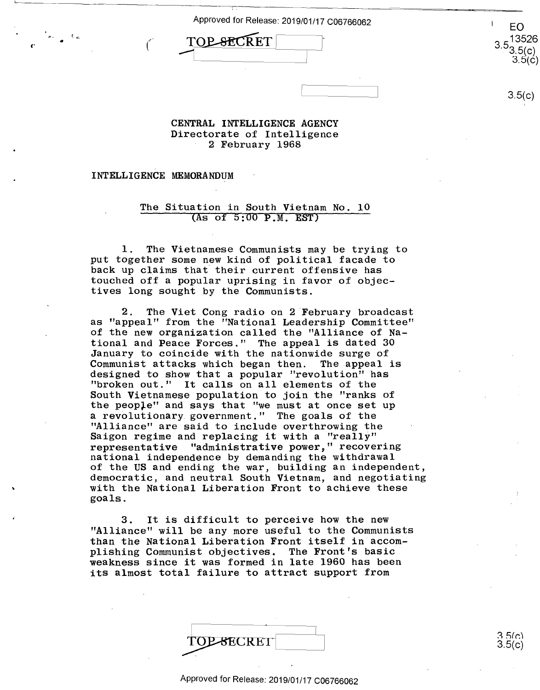Approved for Release: 2019/01/17 C06766062 Approved for Release: 2019/01/17 <sup>006766062</sup> <sup>I</sup> EO

1-

EO<br>TOP SECRET 3.5<sup>1352(</sup> -1~~~~------J

EO 3.5<sup>1352(</sup><br>3.5(c)  $3.5($ ć

3.5(c)

 $\overline{\phantom{a}3.5(c)}$ 

## **CENTRAL INTELLIGENCE AGENCY**  CENTRAL INTELLIGENCE AGENCY Directorate of Intelligence Directorate of Intelligence 2 February 1968 2 February 1968

**INTELLIGENCE MEMORANDUM**  INTELLIGENCE MEMORANDUM

,.

**r·** *(* 

## The Situation in South Vietnam No. 10 The\_§ituation in South Vietnam No. 10 (As of 5:00 **P.M. EST)**  (As of 5:00 P.M. EST)

1. The Vietnamese Communists may be trying to l. The Vietnamese Communists may be trying to put together some new kind of political facade to put together some new kind of political facade to back up claims that' their current offensive has back up claims that their current offensive has touched off a popular uprising in favor of objec-touched off <sup>a</sup> popular uprising in favor of objec tives long sought by the Communists. tives long scught by the Communists.

2. The Viet Cong radio on 2 February broadcast 2. The Viet Cong radio on 2 February broadcast as "appeal" from the "National Leadership Committee" as "appeal" from the "National Leadership Committee" of the new organization called the "Alliance of Na-of the new organization called the "Alliance of National and Peace Forces." The appeal is dated 30 tional and Peace Forces." The appeal is dated 30 January to coincide with the nationwide surge of January to coincide with the nationwide surge of Communist attacks which began then. The appeal is Communist attacks which began then. The appeal is designed to show that a popular "revolution" has designed to show that <sup>a</sup> popular "revolution" has "broken out." It calls on all elements of the "broken out." It calls on allelements of the South Vietnamese population to join the "ranks of South Vietnamese population to join the "ranks of the peop)-e" and says that "we must at once set up the people" and says that "we must at once set up a revolutionary government." The goals of the "Alliance" are said to include overthrowing the "Alliance" are said to include overthrowing the Saigon regime and replacing it with a "really" Saigon regime and replacing it with <sup>a</sup> "reallY" representative "administrative power," recovering representative "administrative power," recovering national independence by demanding the withdrawal national independence by demanding the withdrawal of the US and ending the war, building an independent, of the US and ending the war, building an independent, democratic, and neutral South Vietnam, and negotiating democratic, and neutral South Vietnam, and negotiating with the National Liberation Front to achieve these with the National Liberation Front to achieve these goals. goals.

3. It is difficult to perceive how the new 3. It is difficult to perceive how the new "Alliance" will be any more useful to the Communists "Alliance" will be any more useful to the Communists than the National Liberation Front itself in accom-than the National Liberation Front itself in accom plishing Communist objectives. The Front's basic plishing Communist objectives. The Front's basic weakness since it was formed in late 1960 has been weakness since itwas formed in late 1960 has been its almost total failure to attract support from its almost total failure to attract support from

|           | $-3.5(c)$ |
|-----------|-----------|
| TOPSECRET | 3.5(c)    |

Approved for Release: 2019/01/17 C06766062 Approved for Release: 2019/01/17 C06766062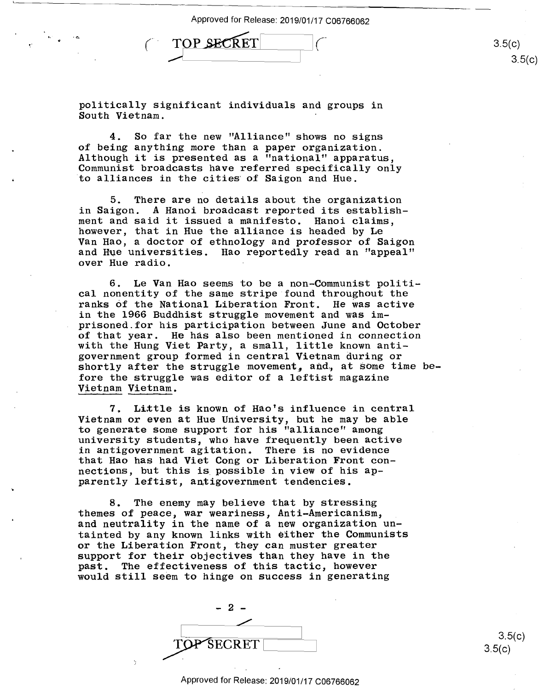Approved for Release: 2019/01/17 C06766062 Approved for Release: 2019/01/17 C06766062

TOP SEX TUP SECRET TOP SECRET (3.5(c)

politically significant individuals and groups in politically significant individuals and groups in South Vietnam. SOuth Vietnam. '

4. So far the new "Alliance" shows no signs 4. So far the new "Alliance" shows no signs of being anything more than a paper organization. of being anything more than <sup>a</sup> paper organization. Although it is presented as a "national" apparatus, Although it is presented as <sup>a</sup> "national" apparatus, Communist broadcasts have referred specifically only Communist broadcasts have referred specifically only to alliances in the cities· of Saigon and Hue. 'to alliances in the cities of Saigon and Hue.

5. There are no details about the organization 5. There are no details about the organization in Saigon. A Hanoi broadcast reported its establish-in Saigon. A Hanoi broadcast reported its establish ment and said it issued a manifesto. Hanoi claims, ment and said it issued <sup>a</sup> manifesto. Hanoi claims, however, that in Hue the alliance is headed by Le however, that in Hue the alliance is headed by Le Van Hao, a doctor of ethnology and professor of Saigon Van Hao, <sup>a</sup> doctor of ethnology and professor of Saigon and H\le universities. Hao reportedly read an "appeal" and Hue uniVersities. Hao reportedly read an "appeal" over Hue radio. over Hue radio. -

6. Le Van Hao seems to be a non-Communist politi-6. Le Van Hao seems to be <sup>a</sup> non—Communist politi cal nonentity of the same stripe found throughout the ranks of the National Liberation Front. He was active ranks cf the National Liberation Front. He was active in the 1966 Buddhist struggle movement and was im-in the 1966 Buddhist struggle movement and was im prisoned.for his participation between June and October prisoned for his participation between June and October of that year. He has also been mentioned in connection of that year. He has also been mentioned in connection with the Hung Viet Party, a small, little known anti-with the Hung Viet Party, <sup>a</sup> small, little known anti government group formed in central Vietnam during or government group formed in central Vietnam during or shortly after the struggle movement, and, at some time before the struggle was editor of a leftist magazine fore the struggle was editor of <sup>a</sup> leftist magazine Vietnam Vietnam. Vietnam Vietnam.

7. Little is known of Hao's influence in central Vietnam or even at Hue University, but he may be able Vietnam or even at Hue University, but he may be able to generate some support for his "alliance" among to generate some support for his "alliance" among university students, who have frequently been active university students, who have frequently been active in antigovernment agitation. There is no evidence in antigovernment agitation. There is no evidence that Hao has had Viet Cong or Liberation Front con-that Hao has had Viet Cong or Liberation Front con necticns, but this is. possible in view of his ap-nections, but this is possible in view of his ap parently leftist, antigovernment tendencies. parently leftist, antigovernment tendencies.

8. The enemy may believe that by stressing 8. The enemy may believe that by stressing themes of peace, war weariness, Anti-Americanism, themes of peace, war weariness, Anti—Americanism, \_ and neutrality in the name of a new organization un-and neutrality in the name of <sup>a</sup> new organization un tainted by any known links with either the Communists tainted by any known links with either the Communists or the Liberation Front, they can muster greater or the Liberation Front, they can muster greater support for their objectives than they have in the support for their objectives than they have in the past. The effectiveness of this tactic, however past. The effectiveness of this tactic, however would still seem to hinge on success in generating would still seem to hinge on success in generating

2 *L*   ${\tt SECRET}$ 

3.5(c)  $3.5(c)$ 

 $3.5(c)$ 

 $3.5(c)$ 

## Approved for Release: 2019/01/17 C06766062 Approved forRelease: 2019/01/17 C06766062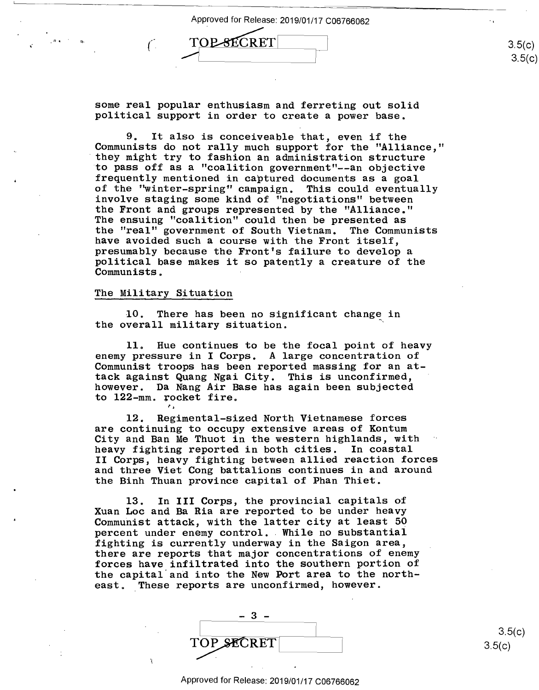Approved for Release: 20  $-$ (iii) TOP-SECRET

some real popular enthusiasm and ferreting out solid some real p0pular enthusiasm and ferreting out solid political support in order to create a power base. political support in order to create <sup>a</sup> power base.

9. It also is conceiveable that, even if the 9. It also is conceiveable that, even if the Communists do not rally much support for the "Alliance," Communists do not rally much support for the "Alliance," · they might try to fashion an administration structure 'they might try to fashion an administration structure to pass off as a "coalition government"--an objective 'to pass off as <sup>a</sup> "coalition government"——an objective frequently mentioned in captured documents as a goal frequently mentioned in captured documents as <sup>a</sup> goal of the "winter-spring" campaign. This could eventually of the "winter—spring" campaign. This could eventually involve staging some kind of 1 'negotia tions" between involve staging some kind of "negotiations" between the Front and groups represented by the "Alliance." the Front and groups represented by the "Alliance." The ensuing "coalition" could then be presented as The ensuing "coalition" could then be presented as the "real" government of South Vietnam. The Communists the "real" government of South Vietnam. The Communists have avoided such a course with the Front itself, have avoided such <sup>a</sup> course with the Front itself, presumably because the Front's failure to develop a presumably because the Front's failure to deve10p <sup>a</sup> presumably because the front's failure to develop a<br>political base makes it so patently a creature of the Communists. Communists. '

## The Military Situation The Military Situation

 $\ddot{\phantom{1}}$ 

À

,. "· *(* 

10. There has been no significant change in the overall military situation. the overall military situation. '

11. Hue continues to be the focal point of heavy 11. Hue continues to be the focal point of heavy enemy pressure in I Corps. A large concentration of enemy pressure in I Corps. A large concentration of Communist troops has been reported massing for an at-Communist troops has been reported massing for an attack against Quang Ngai City. This is unconfirmed, tack against Quang Ngai City. This is unconfirmed, however. Da Nang Air Base has again been subjected however. Da Nang Air Base has again been subjected to 122-mm. rocket fire. to 122-mm. rocket fire.

12. Regimental-sized North Vietnamese forces 12. Regimental—sized North Vietnamese forces are continuing to occupy extensive areas of Kontum are continuing to occupy extensive areas of Kontum City and Ban Me Thuot in the western highlands, with City and Ban Me Thuot in the western highlands, with heavy fighting reported in both cities. In coastal heavy fighting reported in both cities. In coastal II Corps, heavy fighting between allied reaction forces II Corps, heavy fighting between allied reaction forces and three Viet Cong battalions continues in and around and three Viet Cong battalions continues in and around the Binh Thuan province capital of Phan Thiet. the Binh Thuan province capital of Phan Thiet.

13. In III Corps, the provincial capitals of 13. In III Corps, the provincial capitals of Xuan Loe and Ba Ria are reported to be under heavy Xuan Loc and Ba Ria are reported to be under heavy Rudin 1988 and Ba Mid die repersed to be dident nearly communist attack, with the latter city at least 50 percent under enemy control. While no substantial percent under enemy control.. While no substantial fighting is currently underway in the Saigon area, fighting is currently underway in the Saigon area, there are reports that major concentrations of enemy there are reports that major concentrations of enemy forces have infiltrated into the southern portion of forces have infiltrated into the southern portion of the capital.and into the New Port area to the north-the capital and into the New Port area to the north east. These reports are unconfirmed, however.

| TOP SECRET |  |
|------------|--|

 $3.5(c)$  $3.5(c)$ 

3.5(c)

 $3.5(c)$ 

Approved for Release: 2019/01/17 C06766062 Approved forRelease: 2019/01/17 C06766062